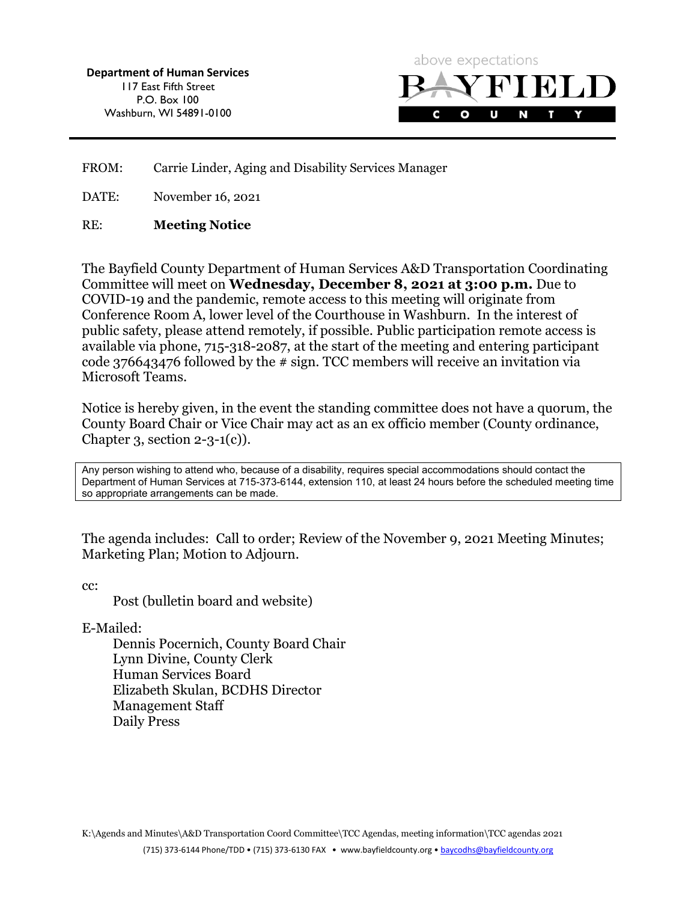Department of Human Services 117 East Fifth Street P.O. Box 100 Washburn, WI 54891-0100



FROM: Carrie Linder, Aging and Disability Services Manager

DATE: November 16, 2021

#### RE: Meeting Notice

The Bayfield County Department of Human Services A&D Transportation Coordinating Committee will meet on Wednesday, December 8, 2021 at 3:00 p.m. Due to COVID-19 and the pandemic, remote access to this meeting will originate from Conference Room A, lower level of the Courthouse in Washburn. In the interest of public safety, please attend remotely, if possible. Public participation remote access is available via phone, 715-318-2087, at the start of the meeting and entering participant code 376643476 followed by the # sign. TCC members will receive an invitation via Microsoft Teams.

Notice is hereby given, in the event the standing committee does not have a quorum, the County Board Chair or Vice Chair may act as an ex officio member (County ordinance, Chapter 3, section  $2-3-1(c)$ ).

Any person wishing to attend who, because of a disability, requires special accommodations should contact the Department of Human Services at 715-373-6144, extension 110, at least 24 hours before the scheduled meeting time so appropriate arrangements can be made.

The agenda includes: Call to order; Review of the November 9, 2021 Meeting Minutes; Marketing Plan; Motion to Adjourn.

cc:

Post (bulletin board and website)

E-Mailed:

Dennis Pocernich, County Board Chair Lynn Divine, County Clerk Human Services Board Elizabeth Skulan, BCDHS Director Management Staff Daily Press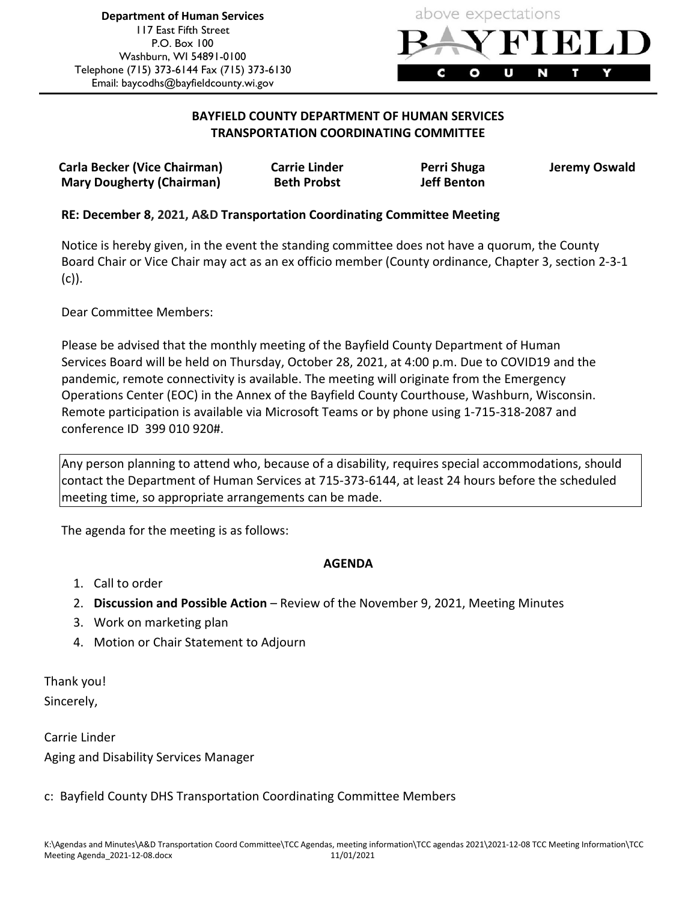

### BAYFIELD COUNTY DEPARTMENT OF HUMAN SERVICES TRANSPORTATION COORDINATING COMMITTEE

Carla Becker (Vice Chairman) Carrie Linder The Perri Shuga Deremy Oswald Mary Dougherty (Chairman) Beth Probst Jeff Benton

### RE: December 8, 2021, A&D Transportation Coordinating Committee Meeting

Notice is hereby given, in the event the standing committee does not have a quorum, the County Board Chair or Vice Chair may act as an ex officio member (County ordinance, Chapter 3, section 2-3-1 (c)).

Dear Committee Members:

Please be advised that the monthly meeting of the Bayfield County Department of Human Services Board will be held on Thursday, October 28, 2021, at 4:00 p.m. Due to COVID19 and the pandemic, remote connectivity is available. The meeting will originate from the Emergency Operations Center (EOC) in the Annex of the Bayfield County Courthouse, Washburn, Wisconsin. Remote participation is available via Microsoft Teams or by phone using 1-715-318-2087 and conference ID 399 010 920#.

Any person planning to attend who, because of a disability, requires special accommodations, should contact the Department of Human Services at 715-373-6144, at least 24 hours before the scheduled meeting time, so appropriate arrangements can be made.

The agenda for the meeting is as follows:

### AGENDA

- 1. Call to order
- 2. Discussion and Possible Action Review of the November 9, 2021, Meeting Minutes
- 3. Work on marketing plan
- 4. Motion or Chair Statement to Adjourn

Thank you! Sincerely,

Carrie Linder Aging and Disability Services Manager

### c: Bayfield County DHS Transportation Coordinating Committee Members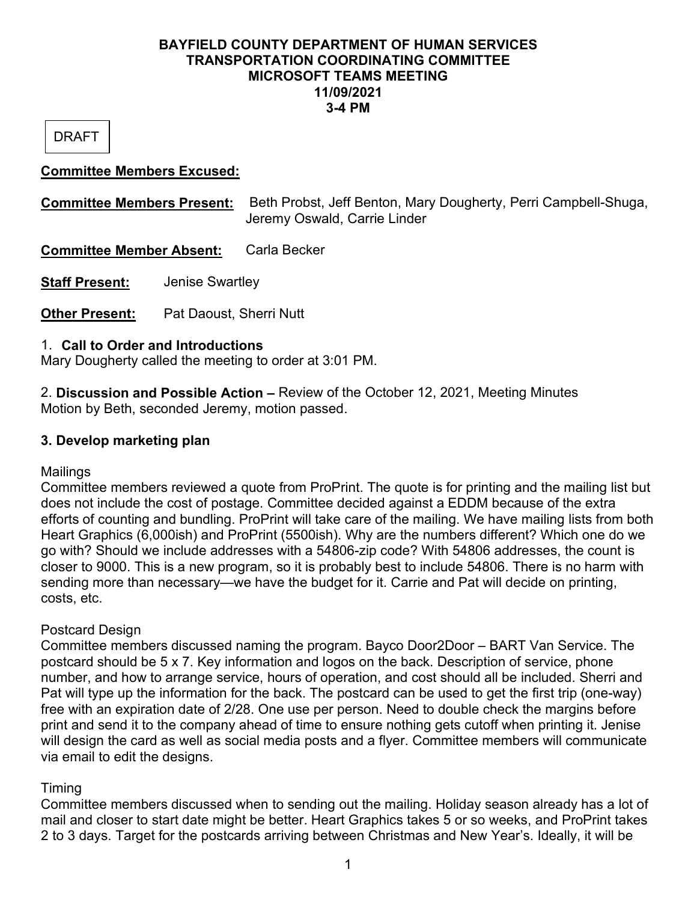### BAYFIELD COUNTY DEPARTMENT OF HUMAN SERVICES TRANSPORTATION COORDINATING COMMITTEE MICROSOFT TEAMS MEETING 11/09/2021 3-4 PM

DRAFT

## Committee Members Excused:

Committee Members Present: Beth Probst, Jeff Benton, Mary Dougherty, Perri Campbell-Shuga, Jeremy Oswald, Carrie Linder Committee Member Absent: Carla Becker Staff Present: Jenise Swartley **Other Present:** Pat Daoust, Sherri Nutt

# 1. Call to Order and Introductions

Mary Dougherty called the meeting to order at 3:01 PM.

2. Discussion and Possible Action – Review of the October 12, 2021, Meeting Minutes Motion by Beth, seconded Jeremy, motion passed.

# 3. Develop marketing plan

# **Mailings**

Committee members reviewed a quote from ProPrint. The quote is for printing and the mailing list but does not include the cost of postage. Committee decided against a EDDM because of the extra efforts of counting and bundling. ProPrint will take care of the mailing. We have mailing lists from both Heart Graphics (6,000ish) and ProPrint (5500ish). Why are the numbers different? Which one do we go with? Should we include addresses with a 54806-zip code? With 54806 addresses, the count is closer to 9000. This is a new program, so it is probably best to include 54806. There is no harm with sending more than necessary—we have the budget for it. Carrie and Pat will decide on printing, costs, etc.

# Postcard Design

Committee members discussed naming the program. Bayco Door2Door – BART Van Service. The postcard should be 5 x 7. Key information and logos on the back. Description of service, phone number, and how to arrange service, hours of operation, and cost should all be included. Sherri and Pat will type up the information for the back. The postcard can be used to get the first trip (one-way) free with an expiration date of 2/28. One use per person. Need to double check the margins before print and send it to the company ahead of time to ensure nothing gets cutoff when printing it. Jenise will design the card as well as social media posts and a flyer. Committee members will communicate via email to edit the designs.

# Timing

Committee members discussed when to sending out the mailing. Holiday season already has a lot of mail and closer to start date might be better. Heart Graphics takes 5 or so weeks, and ProPrint takes 2 to 3 days. Target for the postcards arriving between Christmas and New Year's. Ideally, it will be